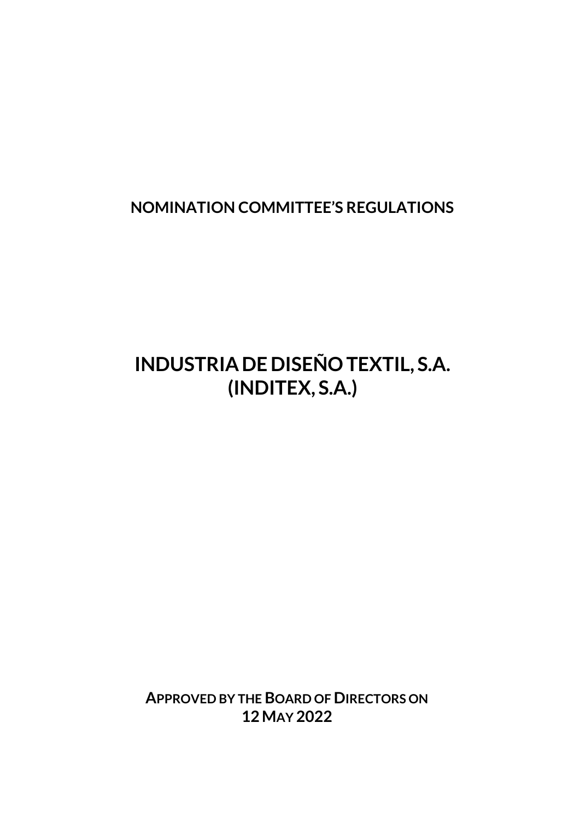**NOMINATION COMMITTEE'S REGULATIONS**

# **INDUSTRIADE DISEÑO TEXTIL, S.A. (INDITEX, S.A.)**

**APPROVED BY THE BOARD OF DIRECTORS ON 12 MAY 2022**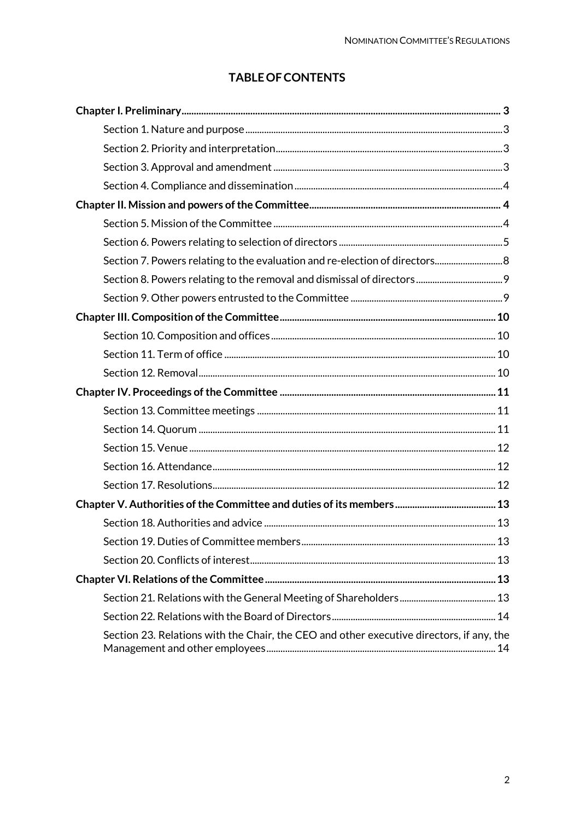## **TABLE OF CONTENTS**

| Section 7. Powers relating to the evaluation and re-election of directors 8              |  |
|------------------------------------------------------------------------------------------|--|
|                                                                                          |  |
|                                                                                          |  |
|                                                                                          |  |
|                                                                                          |  |
|                                                                                          |  |
|                                                                                          |  |
|                                                                                          |  |
|                                                                                          |  |
|                                                                                          |  |
|                                                                                          |  |
|                                                                                          |  |
|                                                                                          |  |
|                                                                                          |  |
|                                                                                          |  |
| Section 19. Duties of Committee members<br>13                                            |  |
|                                                                                          |  |
|                                                                                          |  |
|                                                                                          |  |
|                                                                                          |  |
| Section 23. Relations with the Chair, the CEO and other executive directors, if any, the |  |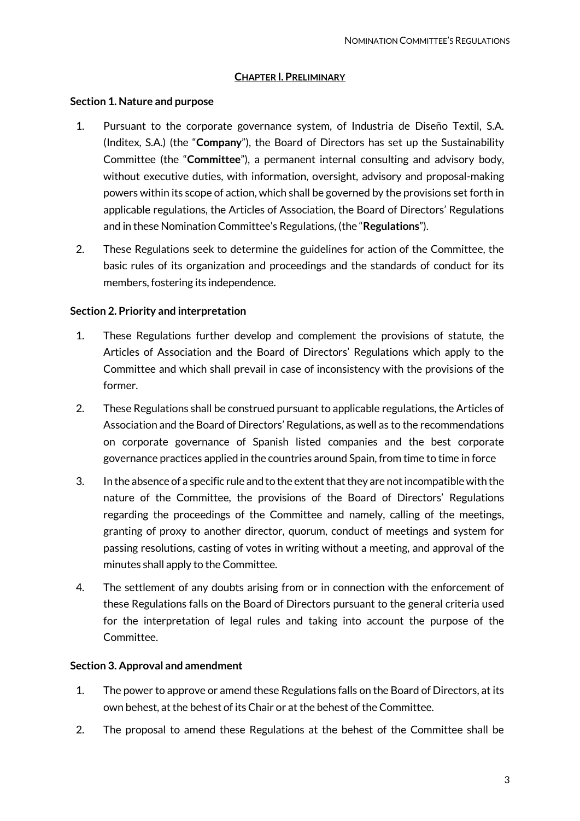#### **CHAPTER I.PRELIMINARY**

#### <span id="page-2-1"></span><span id="page-2-0"></span>**Section 1. Nature and purpose**

- 1. Pursuant to the corporate governance system, of Industria de Diseño Textil, S.A. (Inditex, S.A.) (the "**Company**"), the Board of Directors has set up the Sustainability Committee (the "**Committee**"), a permanent internal consulting and advisory body, without executive duties, with information, oversight, advisory and proposal-making powers within its scope of action, which shall be governed by the provisions set forth in applicable regulations, the Articles of Association, the Board of Directors' Regulations and in these Nomination Committee's Regulations, (the "**Regulations**").
- 2. These Regulations seek to determine the guidelines for action of the Committee, the basic rules of its organization and proceedings and the standards of conduct for its members, fostering its independence.

#### <span id="page-2-2"></span>**Section 2. Priority and interpretation**

- 1. These Regulations further develop and complement the provisions of statute, the Articles of Association and the Board of Directors' Regulations which apply to the Committee and which shall prevail in case of inconsistency with the provisions of the former.
- 2. These Regulations shall be construed pursuant to applicable regulations, the Articles of Association and the Board of Directors' Regulations, as well as to the recommendations on corporate governance of Spanish listed companies and the best corporate governance practices applied in the countries around Spain, from time to time in force
- 3. In the absence of a specific rule and to the extent that they are not incompatible with the nature of the Committee, the provisions of the Board of Directors' Regulations regarding the proceedings of the Committee and namely, calling of the meetings, granting of proxy to another director, quorum, conduct of meetings and system for passing resolutions, casting of votes in writing without a meeting, and approval of the minutes shall apply to the Committee.
- 4. The settlement of any doubts arising from or in connection with the enforcement of these Regulations falls on the Board of Directors pursuant to the general criteria used for the interpretation of legal rules and taking into account the purpose of the Committee.

#### <span id="page-2-3"></span>**Section 3. Approval and amendment**

- 1. The power to approve or amend these Regulations falls on the Board of Directors, at its own behest, at the behest of its Chair or at the behest of the Committee.
- 2. The proposal to amend these Regulations at the behest of the Committee shall be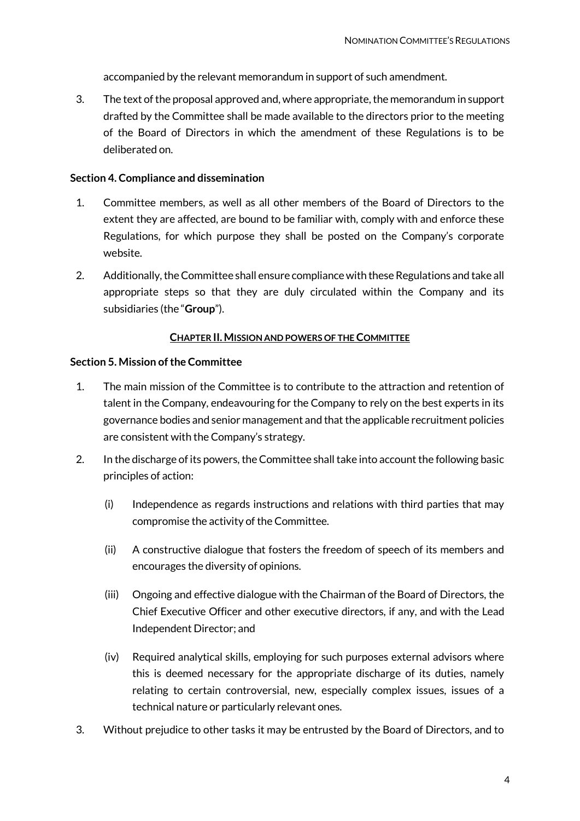accompanied by the relevant memorandum in support of such amendment.

3. The text of the proposal approved and, where appropriate, the memorandum in support drafted by the Committee shall be made available to the directors prior to the meeting of the Board of Directors in which the amendment of these Regulations is to be deliberated on.

#### <span id="page-3-0"></span>**Section 4. Compliance and dissemination**

- 1. Committee members, as well as all other members of the Board of Directors to the extent they are affected, are bound to be familiar with, comply with and enforce these Regulations, for which purpose they shall be posted on the Company's corporate website.
- 2. Additionally, the Committee shall ensure compliance with these Regulations and take all appropriate steps so that they are duly circulated within the Company and its subsidiaries (the "**Group**").

#### **CHAPTER II.MISSION AND POWERS OF THE COMMITTEE**

#### <span id="page-3-2"></span><span id="page-3-1"></span>**Section 5. Mission of the Committee**

- 1. The main mission of the Committee is to contribute to the attraction and retention of talent in the Company, endeavouring for the Company to rely on the best experts in its governance bodies and senior management and that the applicable recruitment policies are consistent with the Company's strategy.
- 2. In the discharge of its powers, the Committee shall take into account the following basic principles of action:
	- (i) Independence as regards instructions and relations with third parties that may compromise the activity of the Committee.
	- (ii) A constructive dialogue that fosters the freedom of speech of its members and encourages the diversity of opinions.
	- (iii) Ongoing and effective dialogue with the Chairman of the Board of Directors, the Chief Executive Officer and other executive directors, if any, and with the Lead Independent Director; and
	- (iv) Required analytical skills, employing for such purposes external advisors where this is deemed necessary for the appropriate discharge of its duties, namely relating to certain controversial, new, especially complex issues, issues of a technical nature or particularly relevant ones.
- 3. Without prejudice to other tasks it may be entrusted by the Board of Directors, and to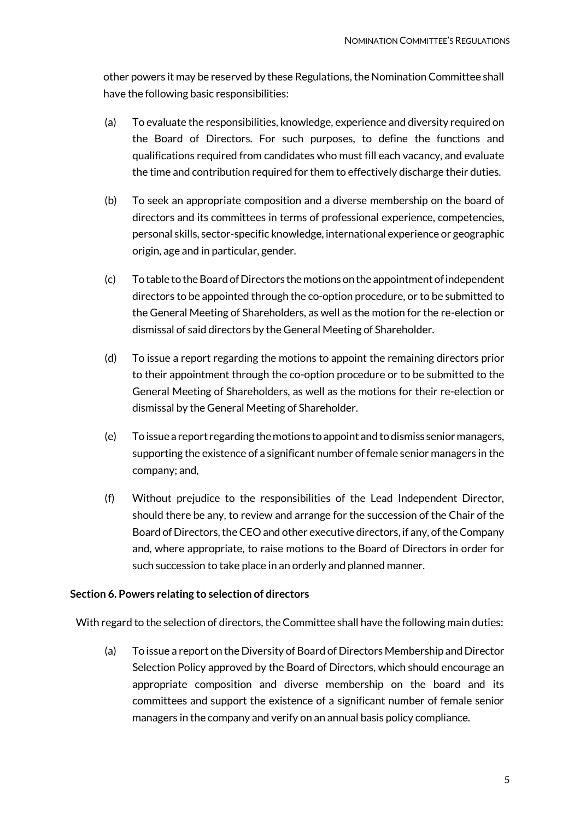other powers it may be reserved by these Regulations, the Nomination Committee shall have the following basic responsibilities:

- (a) To evaluate the responsibilities, knowledge, experience and diversity required on the Board of Directors. For such purposes, to define the functions and qualifications required from candidates who must fill each vacancy, and evaluate the time and contribution required for them to effectively discharge their duties.
- (b) To seek an appropriate composition and a diverse membership on the board of directors and its committees in terms of professional experience, competencies, personal skills, sector-specific knowledge, international experience or geographic origin, age and in particular, gender.
- (c) To table to the Board of Directors the motions on the appointment of independent directors to be appointed through the co-option procedure, or to be submitted to the General Meeting of Shareholders, as well as the motion for the re-election or dismissal of said directors by the General Meeting of Shareholder.
- (d) To issue a report regarding the motions to appoint the remaining directors prior to their appointment through the co-option procedure or to be submitted to the General Meeting of Shareholders, as well as the motions for their re-election or dismissal by the General Meeting of Shareholder.
- (e) To issue a report regarding the motions to appoint and to dismiss senior managers, supporting the existence of a significant number of female senior managers in the company; and,
- (f) Without prejudice to the responsibilities of the Lead Independent Director, should there be any, to review and arrange for the succession of the Chair of the Board of Directors, the CEO and other executive directors, if any, of the Company and, where appropriate, to raise motions to the Board of Directors in order for such succession to take place in an orderly and planned manner.

## <span id="page-4-0"></span>**Section 6. Powers relating to selection of directors**

With regard to the selection of directors, the Committee shall have the following main duties:

(a) To issue a report on the Diversity of Board of Directors Membership and Director Selection Policy approved by the Board of Directors, which should encourage an appropriate composition and diverse membership on the board and its committees and support the existence of a significant number of female senior managers in the company and verify on an annual basis policy compliance.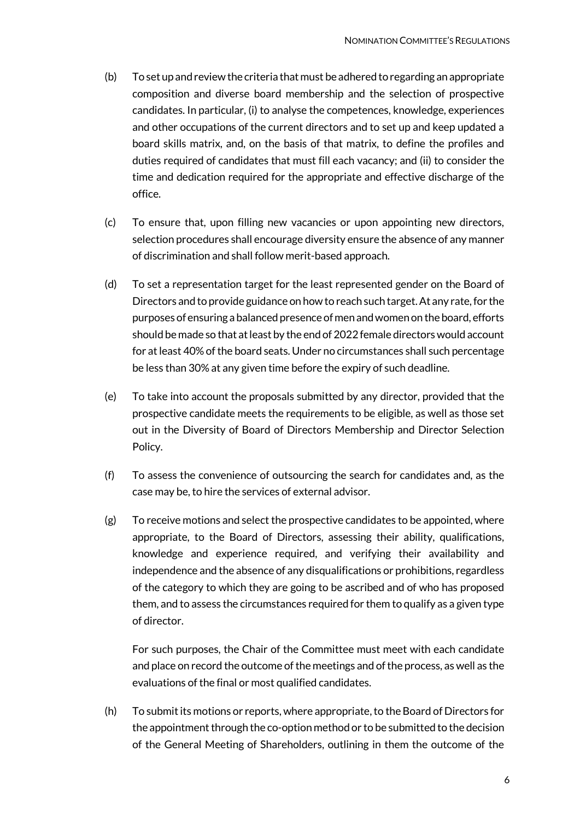- (b) To set up and review the criteria that must be adhered to regarding an appropriate composition and diverse board membership and the selection of prospective candidates. In particular, (i) to analyse the competences, knowledge, experiences and other occupations of the current directors and to set up and keep updated a board skills matrix, and, on the basis of that matrix, to define the profiles and duties required of candidates that must fill each vacancy; and (ii) to consider the time and dedication required for the appropriate and effective discharge of the office.
- (c) To ensure that, upon filling new vacancies or upon appointing new directors, selection procedures shall encourage diversity ensure the absence of any manner of discrimination and shall follow merit-based approach.
- (d) To set a representation target for the least represented gender on the Board of Directors and to provide guidance on how to reach such target. At any rate, for the purposes of ensuring a balanced presence of men and women on the board, efforts should be made so that at least by the end of 2022 female directors would account for at least 40% of the board seats. Under no circumstances shall such percentage be less than 30% at any given time before the expiry of such deadline.
- (e) To take into account the proposals submitted by any director, provided that the prospective candidate meets the requirements to be eligible, as well as those set out in the Diversity of Board of Directors Membership and Director Selection Policy.
- (f) To assess the convenience of outsourcing the search for candidates and, as the case may be, to hire the services of external advisor.
- (g) To receive motions and select the prospective candidates to be appointed, where appropriate, to the Board of Directors, assessing their ability, qualifications, knowledge and experience required, and verifying their availability and independence and the absence of any disqualifications or prohibitions, regardless of the category to which they are going to be ascribed and of who has proposed them, and to assess the circumstances required for them to qualify as a given type of director.

For such purposes, the Chair of the Committee must meet with each candidate and place on record the outcome of the meetings and of the process, as well as the evaluations of the final or most qualified candidates.

(h) To submit its motions or reports, where appropriate, to the Board of Directors for the appointment through the co-option method or to be submitted to the decision of the General Meeting of Shareholders, outlining in them the outcome of the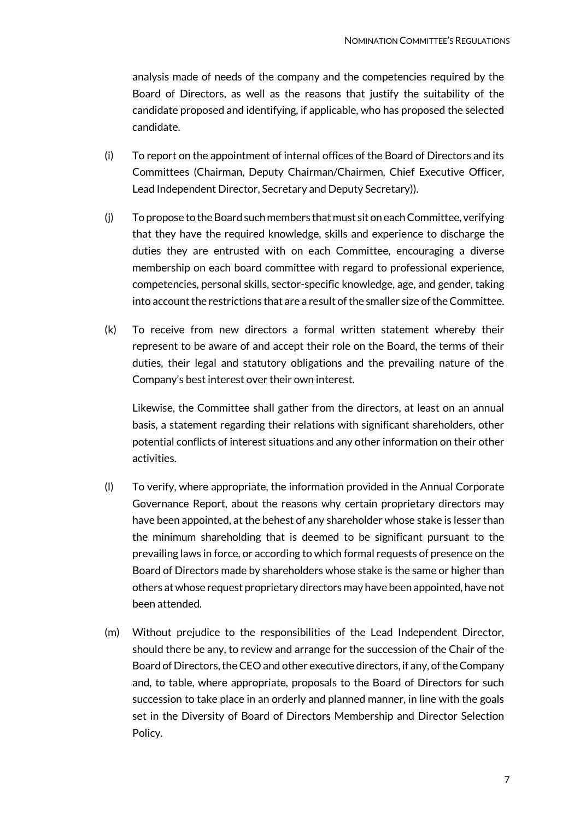analysis made of needs of the company and the competencies required by the Board of Directors, as well as the reasons that justify the suitability of the candidate proposed and identifying, if applicable, who has proposed the selected candidate.

- (i) To report on the appointment of internal offices of the Board of Directors and its Committees (Chairman, Deputy Chairman/Chairmen, Chief Executive Officer, Lead Independent Director, Secretary and Deputy Secretary)).
- (j) To propose to the Board such members that must sit on each Committee, verifying that they have the required knowledge, skills and experience to discharge the duties they are entrusted with on each Committee, encouraging a diverse membership on each board committee with regard to professional experience, competencies, personal skills, sector-specific knowledge, age, and gender, taking into account the restrictions that are a result of the smaller size of the Committee.
- (k) To receive from new directors a formal written statement whereby their represent to be aware of and accept their role on the Board, the terms of their duties, their legal and statutory obligations and the prevailing nature of the Company's best interest over their own interest.

Likewise, the Committee shall gather from the directors, at least on an annual basis, a statement regarding their relations with significant shareholders, other potential conflicts of interest situations and any other information on their other activities.

- (l) To verify, where appropriate, the information provided in the Annual Corporate Governance Report, about the reasons why certain proprietary directors may have been appointed, at the behest of any shareholder whose stake is lesser than the minimum shareholding that is deemed to be significant pursuant to the prevailing laws in force, or according to which formal requests of presence on the Board of Directors made by shareholders whose stake is the same or higher than others at whose request proprietary directors may have been appointed, have not been attended.
- (m) Without prejudice to the responsibilities of the Lead Independent Director, should there be any, to review and arrange for the succession of the Chair of the Board of Directors, the CEO and other executive directors, if any, of the Company and, to table, where appropriate, proposals to the Board of Directors for such succession to take place in an orderly and planned manner, in line with the goals set in the Diversity of Board of Directors Membership and Director Selection Policy.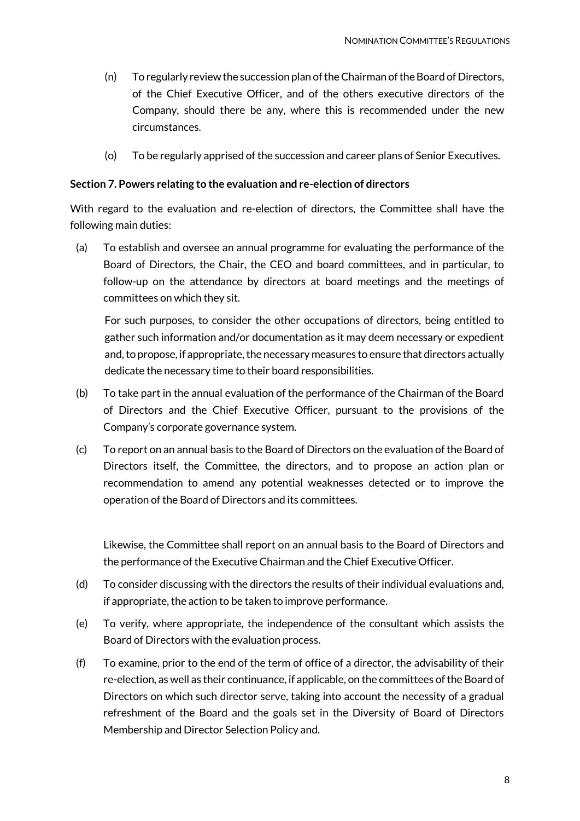- (n) To regularly review the succession plan of the Chairman of the Board of Directors, of the Chief Executive Officer, and of the others executive directors of the Company, should there be any, where this is recommended under the new circumstances.
- (o) To be regularly apprised of the succession and career plans of Senior Executives.

## <span id="page-7-0"></span>**Section 7. Powers relating to the evaluation and re-election of directors**

With regard to the evaluation and re-election of directors, the Committee shall have the following main duties:

(a) To establish and oversee an annual programme for evaluating the performance of the Board of Directors, the Chair, the CEO and board committees, and in particular, to follow-up on the attendance by directors at board meetings and the meetings of committees on which they sit.

For such purposes, to consider the other occupations of directors, being entitled to gather such information and/or documentation as it may deem necessary or expedient and, to propose, if appropriate, the necessary measures to ensure that directors actually dedicate the necessary time to their board responsibilities.

- (b) To take part in the annual evaluation of the performance of the Chairman of the Board of Directors and the Chief Executive Officer, pursuant to the provisions of the Company's corporate governance system.
- (c) To report on an annual basis to the Board of Directors on the evaluation of the Board of Directors itself, the Committee, the directors, and to propose an action plan or recommendation to amend any potential weaknesses detected or to improve the operation of the Board of Directors and its committees.

Likewise, the Committee shall report on an annual basis to the Board of Directors and the performance of the Executive Chairman and the Chief Executive Officer.

- (d) To consider discussing with the directors the results of their individual evaluations and, if appropriate, the action to be taken to improve performance.
- (e) To verify, where appropriate, the independence of the consultant which assists the Board of Directors with the evaluation process.
- (f) To examine, prior to the end of the term of office of a director, the advisability of their re-election, as well as their continuance, if applicable, on the committees of the Board of Directors on which such director serve, taking into account the necessity of a gradual refreshment of the Board and the goals set in the Diversity of Board of Directors Membership and Director Selection Policy and.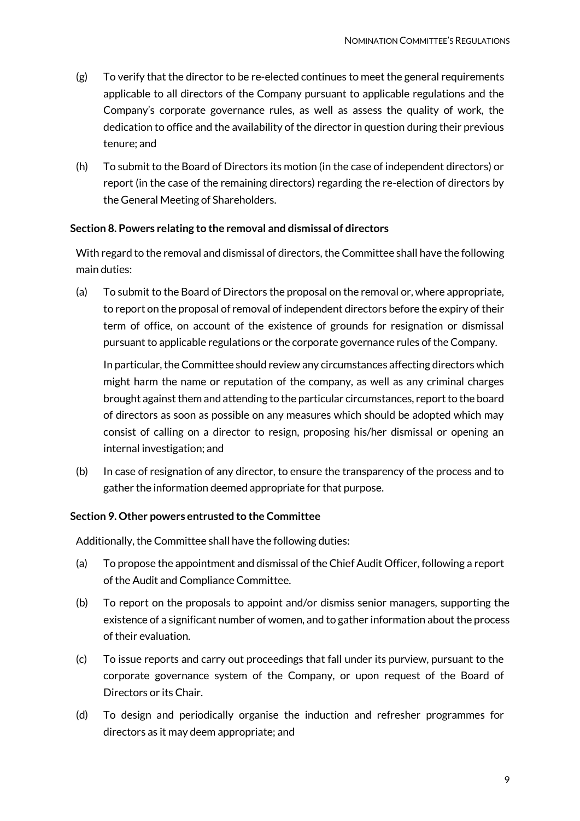- $(g)$  To verify that the director to be re-elected continues to meet the general requirements applicable to all directors of the Company pursuant to applicable regulations and the Company's corporate governance rules, as well as assess the quality of work, the dedication to office and the availability of the director in question during their previous tenure; and
- (h) To submit to the Board of Directors its motion (in the case of independent directors) or report (in the case of the remaining directors) regarding the re-election of directors by the General Meeting of Shareholders.

## <span id="page-8-0"></span>**Section 8. Powers relating to the removal and dismissal of directors**

With regard to the removal and dismissal of directors, the Committee shall have the following main duties:

(a) To submit to the Board of Directors the proposal on the removal or, where appropriate, to report on the proposal of removal of independent directors before the expiry of their term of office, on account of the existence of grounds for resignation or dismissal pursuant to applicable regulations or the corporate governance rules of the Company.

In particular, the Committee should review any circumstances affecting directors which might harm the name or reputation of the company, as well as any criminal charges brought against them and attending to the particular circumstances, report to the board of directors as soon as possible on any measures which should be adopted which may consist of calling on a director to resign, proposing his/her dismissal or opening an internal investigation; and

(b) In case of resignation of any director, to ensure the transparency of the process and to gather the information deemed appropriate for that purpose.

#### <span id="page-8-1"></span>**Section 9. Other powers entrusted to the Committee**

Additionally, the Committee shall have the following duties:

- (a) To propose the appointment and dismissal of the Chief Audit Officer, following a report of the Audit and Compliance Committee.
- (b) To report on the proposals to appoint and/or dismiss senior managers, supporting the existence of a significant number of women, and to gather information about the process of their evaluation.
- (c) To issue reports and carry out proceedings that fall under its purview, pursuant to the corporate governance system of the Company, or upon request of the Board of Directors or its Chair.
- (d) To design and periodically organise the induction and refresher programmes for directors as it may deem appropriate; and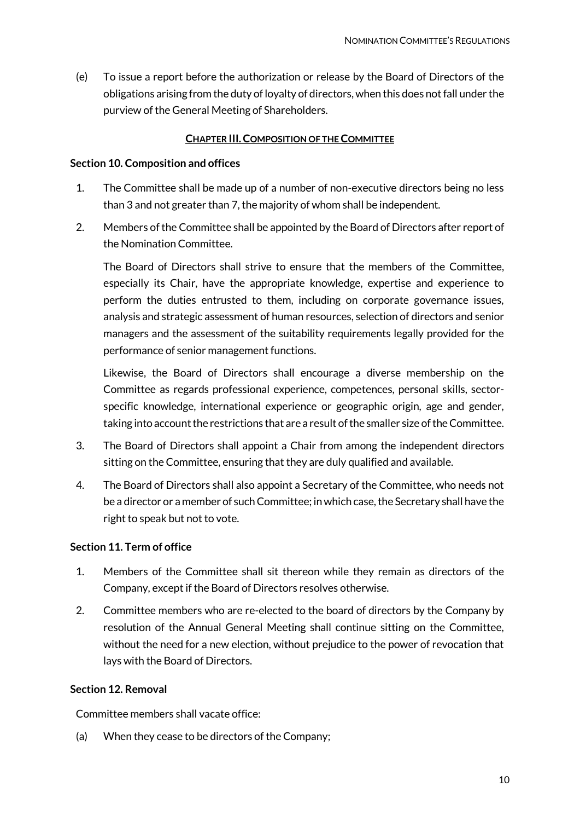(e) To issue a report before the authorization or release by the Board of Directors of the obligations arising from the duty of loyalty of directors, when this does not fall under the purview of the General Meeting of Shareholders.

#### **CHAPTER III.COMPOSITION OF THE COMMITTEE**

#### <span id="page-9-1"></span><span id="page-9-0"></span>**Section 10. Composition and offices**

- 1. The Committee shall be made up of a number of non-executive directors being no less than 3 and not greater than 7, the majority of whom shall be independent.
- 2. Members of the Committee shall be appointed by the Board of Directors after report of the Nomination Committee.

The Board of Directors shall strive to ensure that the members of the Committee, especially its Chair, have the appropriate knowledge, expertise and experience to perform the duties entrusted to them, including on corporate governance issues, analysis and strategic assessment of human resources, selection of directors and senior managers and the assessment of the suitability requirements legally provided for the performance of senior management functions.

Likewise, the Board of Directors shall encourage a diverse membership on the Committee as regards professional experience, competences, personal skills, sectorspecific knowledge, international experience or geographic origin, age and gender, taking into account the restrictions that are a result of the smaller size of the Committee.

- 3. The Board of Directors shall appoint a Chair from among the independent directors sitting on the Committee, ensuring that they are duly qualified and available.
- 4. The Board of Directors shall also appoint a Secretary of the Committee, who needs not be a director or a member of such Committee; in which case, the Secretary shall have the right to speak but not to vote.

#### <span id="page-9-2"></span>**Section 11. Term of office**

- 1. Members of the Committee shall sit thereon while they remain as directors of the Company, except if the Board of Directors resolves otherwise.
- 2. Committee members who are re-elected to the board of directors by the Company by resolution of the Annual General Meeting shall continue sitting on the Committee, without the need for a new election, without prejudice to the power of revocation that lays with the Board of Directors.

## <span id="page-9-3"></span>**Section 12. Removal**

Committee members shall vacate office:

(a) When they cease to be directors of the Company;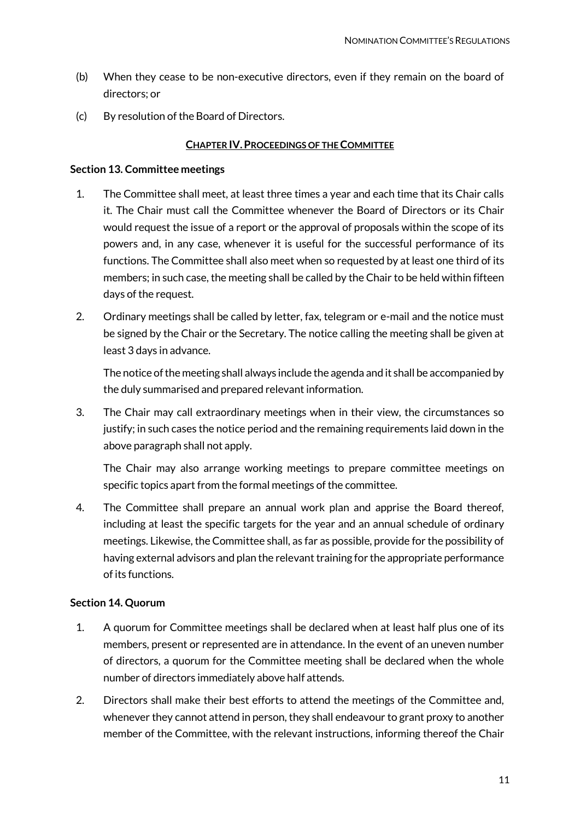- (b) When they cease to be non-executive directors, even if they remain on the board of directors; or
- <span id="page-10-0"></span>(c) By resolution of the Board of Directors.

## **CHAPTER IV.PROCEEDINGS OF THE COMMITTEE**

#### <span id="page-10-1"></span>**Section 13. Committee meetings**

- 1. The Committee shall meet, at least three times a year and each time that its Chair calls it. The Chair must call the Committee whenever the Board of Directors or its Chair would request the issue of a report or the approval of proposals within the scope of its powers and, in any case, whenever it is useful for the successful performance of its functions. The Committee shall also meet when so requested by at least one third of its members; in such case, the meeting shall be called by the Chair to be held within fifteen days of the request.
- 2. Ordinary meetings shall be called by letter, fax, telegram or e-mail and the notice must be signed by the Chair or the Secretary. The notice calling the meeting shall be given at least 3 days in advance.

The notice of the meeting shall always include the agenda and it shall be accompanied by the duly summarised and prepared relevant information.

3. The Chair may call extraordinary meetings when in their view, the circumstances so justify; in such cases the notice period and the remaining requirements laid down in the above paragraph shall not apply.

The Chair may also arrange working meetings to prepare committee meetings on specific topics apart from the formal meetings of the committee.

4. The Committee shall prepare an annual work plan and apprise the Board thereof, including at least the specific targets for the year and an annual schedule of ordinary meetings. Likewise, the Committee shall, as far as possible, provide for the possibility of having external advisors and plan the relevant training for the appropriate performance of its functions.

## <span id="page-10-2"></span>**Section 14. Quorum**

- 1. A quorum for Committee meetings shall be declared when at least half plus one of its members, present or represented are in attendance. In the event of an uneven number of directors, a quorum for the Committee meeting shall be declared when the whole number of directors immediately above half attends.
- 2. Directors shall make their best efforts to attend the meetings of the Committee and, whenever they cannot attend in person, they shall endeavour to grant proxy to another member of the Committee, with the relevant instructions, informing thereof the Chair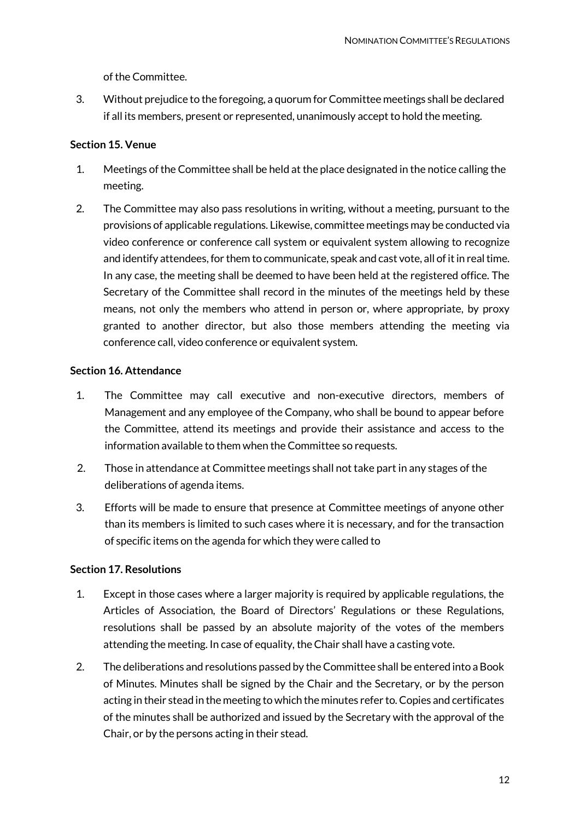of the Committee.

3. Without prejudice to the foregoing, a quorum for Committee meetings shall be declared if all its members, present or represented, unanimously accept to hold the meeting.

## <span id="page-11-0"></span>**Section 15. Venue**

- 1. Meetings of the Committee shall be held at the place designated in the notice calling the meeting.
- 2. The Committee may also pass resolutions in writing, without a meeting, pursuant to the provisions of applicable regulations. Likewise, committee meetings may be conducted via video conference or conference call system or equivalent system allowing to recognize and identify attendees, for them to communicate, speak and cast vote, all of it in real time. In any case, the meeting shall be deemed to have been held at the registered office. The Secretary of the Committee shall record in the minutes of the meetings held by these means, not only the members who attend in person or, where appropriate, by proxy granted to another director, but also those members attending the meeting via conference call, video conference or equivalent system.

## <span id="page-11-1"></span>**Section 16. Attendance**

- 1. The Committee may call executive and non-executive directors, members of Management and any employee of the Company, who shall be bound to appear before the Committee, attend its meetings and provide their assistance and access to the information available to them when the Committee so requests.
- 2. Those in attendance at Committee meetings shall not take part in any stages of the deliberations of agenda items.
- 3. Efforts will be made to ensure that presence at Committee meetings of anyone other than its members is limited to such cases where it is necessary, and for the transaction of specific items on the agenda for which they were called to

## <span id="page-11-2"></span>**Section 17. Resolutions**

- 1. Except in those cases where a larger majority is required by applicable regulations, the Articles of Association, the Board of Directors' Regulations or these Regulations, resolutions shall be passed by an absolute majority of the votes of the members attending the meeting. In case of equality, the Chair shall have a casting vote.
- 2. The deliberations and resolutions passed by the Committee shall be entered into a Book of Minutes. Minutes shall be signed by the Chair and the Secretary, or by the person acting in their stead in the meeting to which the minutes refer to. Copies and certificates of the minutes shall be authorized and issued by the Secretary with the approval of the Chair, or by the persons acting in their stead.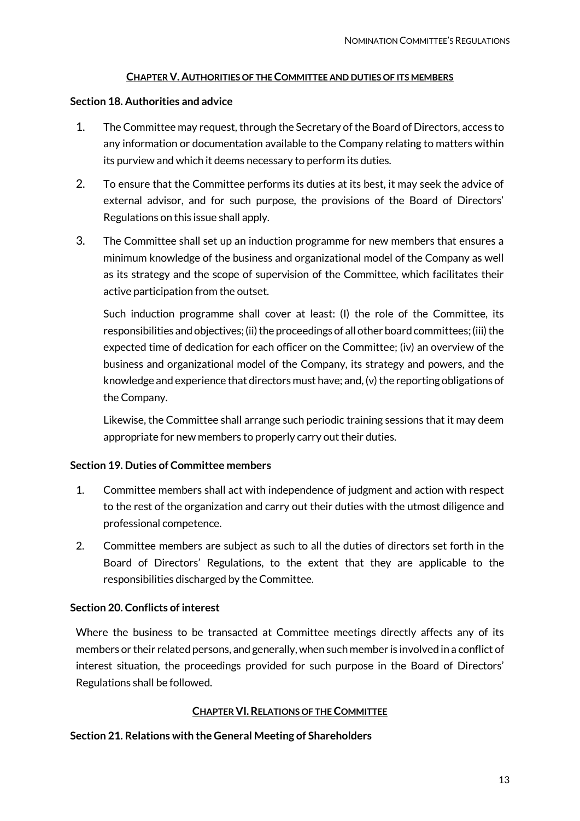## **CHAPTER V. AUTHORITIES OF THE COMMITTEE AND DUTIES OF ITS MEMBERS**

## <span id="page-12-1"></span><span id="page-12-0"></span>**Section 18. Authorities and advice**

- 1. The Committee may request, through the Secretary of the Board of Directors, access to any information or documentation available to the Company relating to matters within its purview and which it deems necessary to perform its duties.
- 2. To ensure that the Committee performs its duties at its best, it may seek the advice of external advisor, and for such purpose, the provisions of the Board of Directors' Regulations on this issue shall apply.
- 3. The Committee shall set up an induction programme for new members that ensures a minimum knowledge of the business and organizational model of the Company as well as its strategy and the scope of supervision of the Committee, which facilitates their active participation from the outset.

Such induction programme shall cover at least: (I) the role of the Committee, its responsibilities and objectives; (ii) the proceedings of all other board committees; (iii) the expected time of dedication for each officer on the Committee; (iv) an overview of the business and organizational model of the Company, its strategy and powers, and the knowledge and experience that directors must have; and, (v) the reporting obligations of the Company.

Likewise, the Committee shall arrange such periodic training sessions that it may deem appropriate for new members to properly carry out their duties.

## <span id="page-12-2"></span>**Section 19. Duties of Committee members**

- 1. Committee members shall act with independence of judgment and action with respect to the rest of the organization and carry out their duties with the utmost diligence and professional competence.
- 2. Committee members are subject as such to all the duties of directors set forth in the Board of Directors' Regulations, to the extent that they are applicable to the responsibilities discharged by the Committee.

## <span id="page-12-3"></span>**Section 20. Conflicts of interest**

Where the business to be transacted at Committee meetings directly affects any of its members or their related persons, and generally, when such member is involved in a conflict of interest situation, the proceedings provided for such purpose in the Board of Directors' Regulations shall be followed.

## **CHAPTER VI.RELATIONS OF THE COMMITTEE**

## <span id="page-12-5"></span><span id="page-12-4"></span>**Section 21. Relations with the General Meeting of Shareholders**